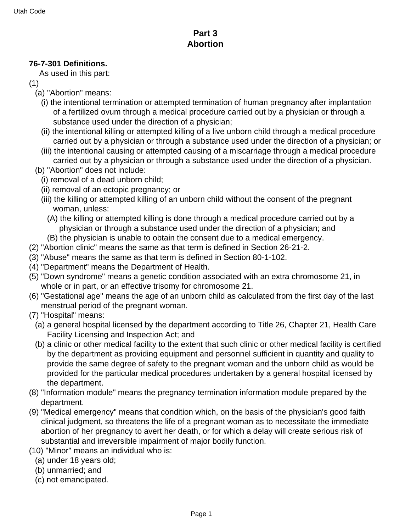## **Part 3 Abortion**

## **76-7-301 Definitions.**

As used in this part:

- (1)
	- (a) "Abortion" means:
		- (i) the intentional termination or attempted termination of human pregnancy after implantation of a fertilized ovum through a medical procedure carried out by a physician or through a substance used under the direction of a physician;
		- (ii) the intentional killing or attempted killing of a live unborn child through a medical procedure carried out by a physician or through a substance used under the direction of a physician; or
		- (iii) the intentional causing or attempted causing of a miscarriage through a medical procedure carried out by a physician or through a substance used under the direction of a physician.
	- (b) "Abortion" does not include:
		- (i) removal of a dead unborn child;
		- (ii) removal of an ectopic pregnancy; or
		- (iii) the killing or attempted killing of an unborn child without the consent of the pregnant woman, unless:
			- (A) the killing or attempted killing is done through a medical procedure carried out by a physician or through a substance used under the direction of a physician; and
		- (B) the physician is unable to obtain the consent due to a medical emergency.
- (2) "Abortion clinic" means the same as that term is defined in Section 26-21-2.
- (3) "Abuse" means the same as that term is defined in Section 80-1-102.
- (4) "Department" means the Department of Health.
- (5) "Down syndrome" means a genetic condition associated with an extra chromosome 21, in whole or in part, or an effective trisomy for chromosome 21.
- (6) "Gestational age" means the age of an unborn child as calculated from the first day of the last menstrual period of the pregnant woman.
- (7) "Hospital" means:
	- (a) a general hospital licensed by the department according to Title 26, Chapter 21, Health Care Facility Licensing and Inspection Act; and
	- (b) a clinic or other medical facility to the extent that such clinic or other medical facility is certified by the department as providing equipment and personnel sufficient in quantity and quality to provide the same degree of safety to the pregnant woman and the unborn child as would be provided for the particular medical procedures undertaken by a general hospital licensed by the department.
- (8) "Information module" means the pregnancy termination information module prepared by the department.
- (9) "Medical emergency" means that condition which, on the basis of the physician's good faith clinical judgment, so threatens the life of a pregnant woman as to necessitate the immediate abortion of her pregnancy to avert her death, or for which a delay will create serious risk of substantial and irreversible impairment of major bodily function.
- (10) "Minor" means an individual who is:
	- (a) under 18 years old;
	- (b) unmarried; and
	- (c) not emancipated.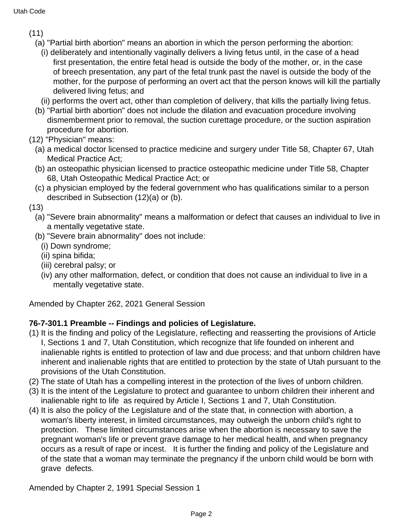- (11)
	- (a) "Partial birth abortion" means an abortion in which the person performing the abortion:
		- (i) deliberately and intentionally vaginally delivers a living fetus until, in the case of a head first presentation, the entire fetal head is outside the body of the mother, or, in the case of breech presentation, any part of the fetal trunk past the navel is outside the body of the mother, for the purpose of performing an overt act that the person knows will kill the partially delivered living fetus; and
	- (ii) performs the overt act, other than completion of delivery, that kills the partially living fetus.
	- (b) "Partial birth abortion" does not include the dilation and evacuation procedure involving dismemberment prior to removal, the suction curettage procedure, or the suction aspiration procedure for abortion.
- (12) "Physician" means:
	- (a) a medical doctor licensed to practice medicine and surgery under Title 58, Chapter 67, Utah Medical Practice Act;
	- (b) an osteopathic physician licensed to practice osteopathic medicine under Title 58, Chapter 68, Utah Osteopathic Medical Practice Act; or
	- (c) a physician employed by the federal government who has qualifications similar to a person described in Subsection (12)(a) or (b).
- (13)
	- (a) "Severe brain abnormality" means a malformation or defect that causes an individual to live in a mentally vegetative state.
	- (b) "Severe brain abnormality" does not include:
		- (i) Down syndrome;
		- (ii) spina bifida;
		- (iii) cerebral palsy; or
		- (iv) any other malformation, defect, or condition that does not cause an individual to live in a mentally vegetative state.

Amended by Chapter 262, 2021 General Session

## **76-7-301.1 Preamble -- Findings and policies of Legislature.**

- (1) It is the finding and policy of the Legislature, reflecting and reasserting the provisions of Article I, Sections 1 and 7, Utah Constitution, which recognize that life founded on inherent and inalienable rights is entitled to protection of law and due process; and that unborn children have inherent and inalienable rights that are entitled to protection by the state of Utah pursuant to the provisions of the Utah Constitution.
- (2) The state of Utah has a compelling interest in the protection of the lives of unborn children.
- (3) It is the intent of the Legislature to protect and guarantee to unborn children their inherent and inalienable right to life as required by Article I, Sections 1 and 7, Utah Constitution.
- (4) It is also the policy of the Legislature and of the state that, in connection with abortion, a woman's liberty interest, in limited circumstances, may outweigh the unborn child's right to protection. These limited circumstances arise when the abortion is necessary to save the pregnant woman's life or prevent grave damage to her medical health, and when pregnancy occurs as a result of rape or incest. It is further the finding and policy of the Legislature and of the state that a woman may terminate the pregnancy if the unborn child would be born with grave defects.

Amended by Chapter 2, 1991 Special Session 1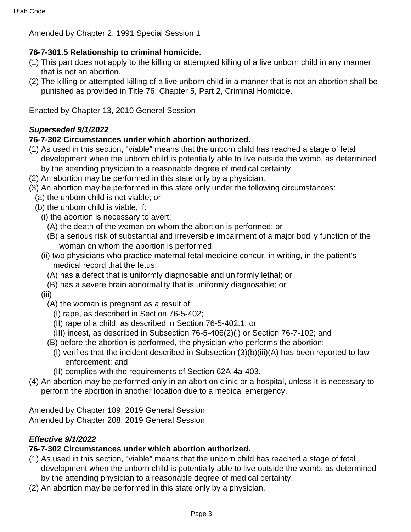Amended by Chapter 2, 1991 Special Session 1

## **76-7-301.5 Relationship to criminal homicide.**

- (1) This part does not apply to the killing or attempted killing of a live unborn child in any manner that is not an abortion.
- (2) The killing or attempted killing of a live unborn child in a manner that is not an abortion shall be punished as provided in Title 76, Chapter 5, Part 2, Criminal Homicide.

Enacted by Chapter 13, 2010 General Session

## **Superseded 9/1/2022**

## **76-7-302 Circumstances under which abortion authorized.**

- (1) As used in this section, "viable" means that the unborn child has reached a stage of fetal development when the unborn child is potentially able to live outside the womb, as determined by the attending physician to a reasonable degree of medical certainty.
- (2) An abortion may be performed in this state only by a physician.
- (3) An abortion may be performed in this state only under the following circumstances:
	- (a) the unborn child is not viable; or
	- (b) the unborn child is viable, if:
		- (i) the abortion is necessary to avert:
			- (A) the death of the woman on whom the abortion is performed; or
			- (B) a serious risk of substantial and irreversible impairment of a major bodily function of the woman on whom the abortion is performed;
		- (ii) two physicians who practice maternal fetal medicine concur, in writing, in the patient's medical record that the fetus:
			- (A) has a defect that is uniformly diagnosable and uniformly lethal; or
			- (B) has a severe brain abnormality that is uniformly diagnosable; or
		- (iii)
			- (A) the woman is pregnant as a result of:
				- (I) rape, as described in Section 76-5-402;
				- (II) rape of a child, as described in Section 76-5-402.1; or
				- (III) incest, as described in Subsection 76-5-406(2)(j) or Section 76-7-102; and
			- (B) before the abortion is performed, the physician who performs the abortion:
				- (I) verifies that the incident described in Subsection (3)(b)(iii)(A) has been reported to law enforcement; and
				- (II) complies with the requirements of Section 62A-4a-403.
- (4) An abortion may be performed only in an abortion clinic or a hospital, unless it is necessary to perform the abortion in another location due to a medical emergency.

Amended by Chapter 189, 2019 General Session Amended by Chapter 208, 2019 General Session

## **Effective 9/1/2022**

#### **76-7-302 Circumstances under which abortion authorized.**

- (1) As used in this section, "viable" means that the unborn child has reached a stage of fetal development when the unborn child is potentially able to live outside the womb, as determined by the attending physician to a reasonable degree of medical certainty.
- (2) An abortion may be performed in this state only by a physician.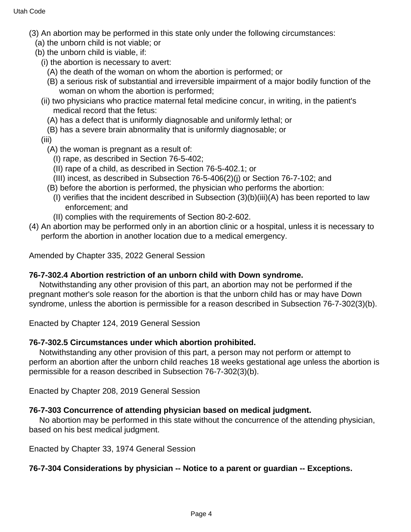- (3) An abortion may be performed in this state only under the following circumstances:
	- (a) the unborn child is not viable; or
	- (b) the unborn child is viable, if:
		- (i) the abortion is necessary to avert:
			- (A) the death of the woman on whom the abortion is performed; or
			- (B) a serious risk of substantial and irreversible impairment of a major bodily function of the woman on whom the abortion is performed;
		- (ii) two physicians who practice maternal fetal medicine concur, in writing, in the patient's medical record that the fetus:
			- (A) has a defect that is uniformly diagnosable and uniformly lethal; or
			- (B) has a severe brain abnormality that is uniformly diagnosable; or
		- (iii)
			- (A) the woman is pregnant as a result of:
				- (I) rape, as described in Section 76-5-402;
				- (II) rape of a child, as described in Section 76-5-402.1; or
				- (III) incest, as described in Subsection 76-5-406(2)(j) or Section 76-7-102; and
			- (B) before the abortion is performed, the physician who performs the abortion:
				- (I) verifies that the incident described in Subsection (3)(b)(iii)(A) has been reported to law enforcement; and
				- (II) complies with the requirements of Section 80-2-602.
- (4) An abortion may be performed only in an abortion clinic or a hospital, unless it is necessary to perform the abortion in another location due to a medical emergency.

Amended by Chapter 335, 2022 General Session

## **76-7-302.4 Abortion restriction of an unborn child with Down syndrome.**

 Notwithstanding any other provision of this part, an abortion may not be performed if the pregnant mother's sole reason for the abortion is that the unborn child has or may have Down syndrome, unless the abortion is permissible for a reason described in Subsection 76-7-302(3)(b).

Enacted by Chapter 124, 2019 General Session

## **76-7-302.5 Circumstances under which abortion prohibited.**

 Notwithstanding any other provision of this part, a person may not perform or attempt to perform an abortion after the unborn child reaches 18 weeks gestational age unless the abortion is permissible for a reason described in Subsection 76-7-302(3)(b).

Enacted by Chapter 208, 2019 General Session

## **76-7-303 Concurrence of attending physician based on medical judgment.**

 No abortion may be performed in this state without the concurrence of the attending physician, based on his best medical judgment.

Enacted by Chapter 33, 1974 General Session

## **76-7-304 Considerations by physician -- Notice to a parent or guardian -- Exceptions.**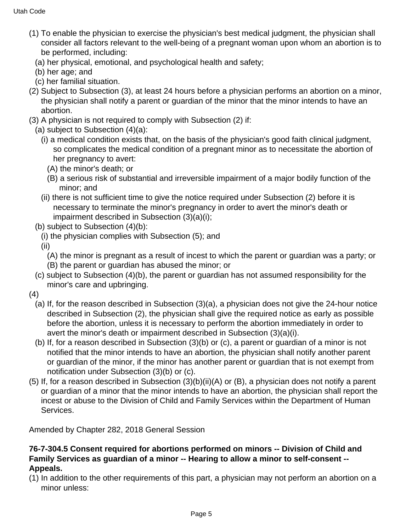- (1) To enable the physician to exercise the physician's best medical judgment, the physician shall consider all factors relevant to the well-being of a pregnant woman upon whom an abortion is to be performed, including:
	- (a) her physical, emotional, and psychological health and safety;
	- (b) her age; and
	- (c) her familial situation.
- (2) Subject to Subsection (3), at least 24 hours before a physician performs an abortion on a minor, the physician shall notify a parent or guardian of the minor that the minor intends to have an abortion.
- (3) A physician is not required to comply with Subsection (2) if:
- (a) subject to Subsection (4)(a):
	- (i) a medical condition exists that, on the basis of the physician's good faith clinical judgment, so complicates the medical condition of a pregnant minor as to necessitate the abortion of her pregnancy to avert:
		- (A) the minor's death; or
		- (B) a serious risk of substantial and irreversible impairment of a major bodily function of the minor; and
	- (ii) there is not sufficient time to give the notice required under Subsection (2) before it is necessary to terminate the minor's pregnancy in order to avert the minor's death or impairment described in Subsection (3)(a)(i);
- (b) subject to Subsection (4)(b):
	- (i) the physician complies with Subsection (5); and
	- (ii)
		- (A) the minor is pregnant as a result of incest to which the parent or guardian was a party; or
		- (B) the parent or guardian has abused the minor; or
- (c) subject to Subsection (4)(b), the parent or guardian has not assumed responsibility for the minor's care and upbringing.
- (4)
	- (a) If, for the reason described in Subsection (3)(a), a physician does not give the 24-hour notice described in Subsection (2), the physician shall give the required notice as early as possible before the abortion, unless it is necessary to perform the abortion immediately in order to avert the minor's death or impairment described in Subsection (3)(a)(i).
	- (b) If, for a reason described in Subsection (3)(b) or (c), a parent or guardian of a minor is not notified that the minor intends to have an abortion, the physician shall notify another parent or guardian of the minor, if the minor has another parent or guardian that is not exempt from notification under Subsection (3)(b) or (c).
- (5) If, for a reason described in Subsection (3)(b)(ii)(A) or (B), a physician does not notify a parent or guardian of a minor that the minor intends to have an abortion, the physician shall report the incest or abuse to the Division of Child and Family Services within the Department of Human Services.

Amended by Chapter 282, 2018 General Session

### **76-7-304.5 Consent required for abortions performed on minors -- Division of Child and Family Services as guardian of a minor -- Hearing to allow a minor to self-consent -- Appeals.**

(1) In addition to the other requirements of this part, a physician may not perform an abortion on a minor unless: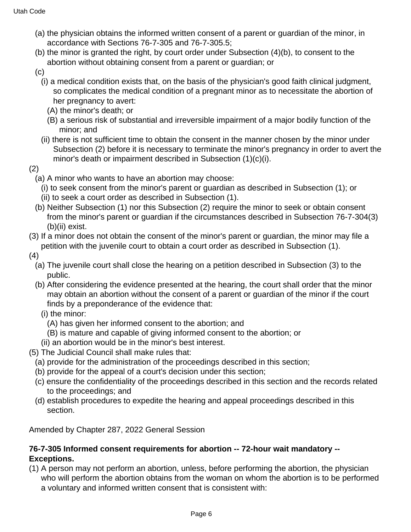- (a) the physician obtains the informed written consent of a parent or guardian of the minor, in accordance with Sections 76-7-305 and 76-7-305.5;
- (b) the minor is granted the right, by court order under Subsection (4)(b), to consent to the abortion without obtaining consent from a parent or guardian; or
- (c)
	- (i) a medical condition exists that, on the basis of the physician's good faith clinical judgment, so complicates the medical condition of a pregnant minor as to necessitate the abortion of her pregnancy to avert:
		- (A) the minor's death; or
		- (B) a serious risk of substantial and irreversible impairment of a major bodily function of the minor; and
	- (ii) there is not sufficient time to obtain the consent in the manner chosen by the minor under Subsection (2) before it is necessary to terminate the minor's pregnancy in order to avert the minor's death or impairment described in Subsection (1)(c)(i).
- (2)
	- (a) A minor who wants to have an abortion may choose:
		- (i) to seek consent from the minor's parent or guardian as described in Subsection (1); or
		- (ii) to seek a court order as described in Subsection (1).
	- (b) Neither Subsection (1) nor this Subsection (2) require the minor to seek or obtain consent from the minor's parent or guardian if the circumstances described in Subsection 76-7-304(3) (b)(ii) exist.
- (3) If a minor does not obtain the consent of the minor's parent or guardian, the minor may file a petition with the juvenile court to obtain a court order as described in Subsection (1).
- (4)
	- (a) The juvenile court shall close the hearing on a petition described in Subsection (3) to the public.
	- (b) After considering the evidence presented at the hearing, the court shall order that the minor may obtain an abortion without the consent of a parent or guardian of the minor if the court finds by a preponderance of the evidence that:
		- (i) the minor:
			- (A) has given her informed consent to the abortion; and
			- (B) is mature and capable of giving informed consent to the abortion; or
		- (ii) an abortion would be in the minor's best interest.
- (5) The Judicial Council shall make rules that:
	- (a) provide for the administration of the proceedings described in this section;
	- (b) provide for the appeal of a court's decision under this section;
	- (c) ensure the confidentiality of the proceedings described in this section and the records related to the proceedings; and
	- (d) establish procedures to expedite the hearing and appeal proceedings described in this section.

Amended by Chapter 287, 2022 General Session

## **76-7-305 Informed consent requirements for abortion -- 72-hour wait mandatory -- Exceptions.**

(1) A person may not perform an abortion, unless, before performing the abortion, the physician who will perform the abortion obtains from the woman on whom the abortion is to be performed a voluntary and informed written consent that is consistent with: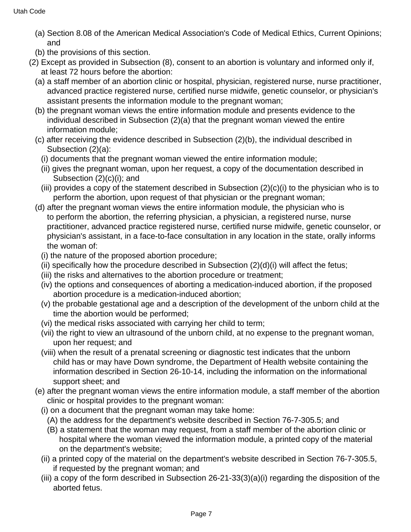- (a) Section 8.08 of the American Medical Association's Code of Medical Ethics, Current Opinions; and
- (b) the provisions of this section.
- (2) Except as provided in Subsection (8), consent to an abortion is voluntary and informed only if, at least 72 hours before the abortion:
	- (a) a staff member of an abortion clinic or hospital, physician, registered nurse, nurse practitioner, advanced practice registered nurse, certified nurse midwife, genetic counselor, or physician's assistant presents the information module to the pregnant woman;
	- (b) the pregnant woman views the entire information module and presents evidence to the individual described in Subsection (2)(a) that the pregnant woman viewed the entire information module;
	- (c) after receiving the evidence described in Subsection (2)(b), the individual described in Subsection (2)(a):
		- (i) documents that the pregnant woman viewed the entire information module;
		- (ii) gives the pregnant woman, upon her request, a copy of the documentation described in Subsection (2)(c)(i); and
		- (iii) provides a copy of the statement described in Subsection (2)(c)(i) to the physician who is to perform the abortion, upon request of that physician or the pregnant woman;
	- (d) after the pregnant woman views the entire information module, the physician who is to perform the abortion, the referring physician, a physician, a registered nurse, nurse practitioner, advanced practice registered nurse, certified nurse midwife, genetic counselor, or physician's assistant, in a face-to-face consultation in any location in the state, orally informs the woman of:
		- (i) the nature of the proposed abortion procedure;
		- (ii) specifically how the procedure described in Subsection  $(2)(d)(i)$  will affect the fetus;
		- (iii) the risks and alternatives to the abortion procedure or treatment;
		- (iv) the options and consequences of aborting a medication-induced abortion, if the proposed abortion procedure is a medication-induced abortion;
		- (v) the probable gestational age and a description of the development of the unborn child at the time the abortion would be performed;
		- (vi) the medical risks associated with carrying her child to term;
		- (vii) the right to view an ultrasound of the unborn child, at no expense to the pregnant woman, upon her request; and
		- (viii) when the result of a prenatal screening or diagnostic test indicates that the unborn child has or may have Down syndrome, the Department of Health website containing the information described in Section 26-10-14, including the information on the informational support sheet; and
	- (e) after the pregnant woman views the entire information module, a staff member of the abortion clinic or hospital provides to the pregnant woman:
		- (i) on a document that the pregnant woman may take home:
			- (A) the address for the department's website described in Section 76-7-305.5; and
			- (B) a statement that the woman may request, from a staff member of the abortion clinic or hospital where the woman viewed the information module, a printed copy of the material on the department's website;
		- (ii) a printed copy of the material on the department's website described in Section 76-7-305.5, if requested by the pregnant woman; and
		- (iii) a copy of the form described in Subsection 26-21-33(3)(a)(i) regarding the disposition of the aborted fetus.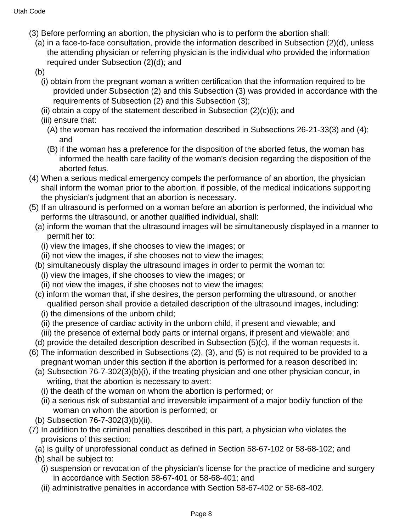- (3) Before performing an abortion, the physician who is to perform the abortion shall:
	- (a) in a face-to-face consultation, provide the information described in Subsection (2)(d), unless the attending physician or referring physician is the individual who provided the information required under Subsection (2)(d); and
	- (b)
		- (i) obtain from the pregnant woman a written certification that the information required to be provided under Subsection (2) and this Subsection (3) was provided in accordance with the requirements of Subsection (2) and this Subsection (3);
		- (ii) obtain a copy of the statement described in Subsection  $(2)(c)(i)$ ; and
		- (iii) ensure that:
			- (A) the woman has received the information described in Subsections 26-21-33(3) and (4); and
			- (B) if the woman has a preference for the disposition of the aborted fetus, the woman has informed the health care facility of the woman's decision regarding the disposition of the aborted fetus.
- (4) When a serious medical emergency compels the performance of an abortion, the physician shall inform the woman prior to the abortion, if possible, of the medical indications supporting the physician's judgment that an abortion is necessary.
- (5) If an ultrasound is performed on a woman before an abortion is performed, the individual who performs the ultrasound, or another qualified individual, shall:
	- (a) inform the woman that the ultrasound images will be simultaneously displayed in a manner to permit her to:
		- (i) view the images, if she chooses to view the images; or
		- (ii) not view the images, if she chooses not to view the images;
	- (b) simultaneously display the ultrasound images in order to permit the woman to:
		- (i) view the images, if she chooses to view the images; or
		- (ii) not view the images, if she chooses not to view the images;
	- (c) inform the woman that, if she desires, the person performing the ultrasound, or another qualified person shall provide a detailed description of the ultrasound images, including: (i) the dimensions of the unborn child;
		- (ii) the presence of cardiac activity in the unborn child, if present and viewable; and
		- (iii) the presence of external body parts or internal organs, if present and viewable; and
- (d) provide the detailed description described in Subsection (5)(c), if the woman requests it.
- (6) The information described in Subsections (2), (3), and (5) is not required to be provided to a pregnant woman under this section if the abortion is performed for a reason described in:
	- (a) Subsection 76-7-302(3)(b)(i), if the treating physician and one other physician concur, in writing, that the abortion is necessary to avert:
		- (i) the death of the woman on whom the abortion is performed; or
		- (ii) a serious risk of substantial and irreversible impairment of a major bodily function of the woman on whom the abortion is performed; or
	- (b) Subsection 76-7-302(3)(b)(ii).
- (7) In addition to the criminal penalties described in this part, a physician who violates the provisions of this section:
	- (a) is guilty of unprofessional conduct as defined in Section 58-67-102 or 58-68-102; and
	- (b) shall be subject to:
		- (i) suspension or revocation of the physician's license for the practice of medicine and surgery in accordance with Section 58-67-401 or 58-68-401; and
		- (ii) administrative penalties in accordance with Section 58-67-402 or 58-68-402.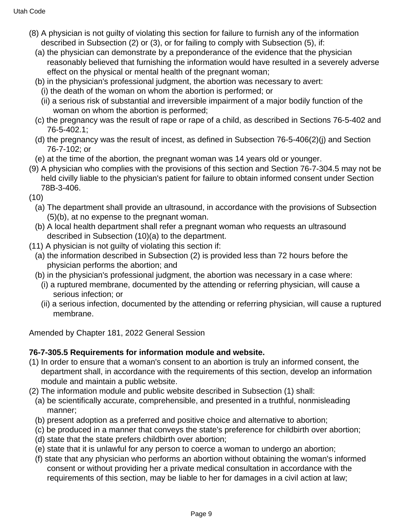- (8) A physician is not guilty of violating this section for failure to furnish any of the information described in Subsection (2) or (3), or for failing to comply with Subsection (5), if:
	- (a) the physician can demonstrate by a preponderance of the evidence that the physician reasonably believed that furnishing the information would have resulted in a severely adverse effect on the physical or mental health of the pregnant woman;
	- (b) in the physician's professional judgment, the abortion was necessary to avert:
		- (i) the death of the woman on whom the abortion is performed; or
		- (ii) a serious risk of substantial and irreversible impairment of a major bodily function of the woman on whom the abortion is performed;
	- (c) the pregnancy was the result of rape or rape of a child, as described in Sections 76-5-402 and 76-5-402.1;
	- (d) the pregnancy was the result of incest, as defined in Subsection 76-5-406(2)(j) and Section 76-7-102; or
	- (e) at the time of the abortion, the pregnant woman was 14 years old or younger.
- (9) A physician who complies with the provisions of this section and Section 76-7-304.5 may not be held civilly liable to the physician's patient for failure to obtain informed consent under Section 78B-3-406.
- (10)
	- (a) The department shall provide an ultrasound, in accordance with the provisions of Subsection (5)(b), at no expense to the pregnant woman.
	- (b) A local health department shall refer a pregnant woman who requests an ultrasound described in Subsection (10)(a) to the department.
- (11) A physician is not guilty of violating this section if:
	- (a) the information described in Subsection (2) is provided less than 72 hours before the physician performs the abortion; and
	- (b) in the physician's professional judgment, the abortion was necessary in a case where:
		- (i) a ruptured membrane, documented by the attending or referring physician, will cause a serious infection; or
		- (ii) a serious infection, documented by the attending or referring physician, will cause a ruptured membrane.

Amended by Chapter 181, 2022 General Session

## **76-7-305.5 Requirements for information module and website.**

- (1) In order to ensure that a woman's consent to an abortion is truly an informed consent, the department shall, in accordance with the requirements of this section, develop an information module and maintain a public website.
- (2) The information module and public website described in Subsection (1) shall:
	- (a) be scientifically accurate, comprehensible, and presented in a truthful, nonmisleading manner;
	- (b) present adoption as a preferred and positive choice and alternative to abortion;
	- (c) be produced in a manner that conveys the state's preference for childbirth over abortion;
	- (d) state that the state prefers childbirth over abortion;
	- (e) state that it is unlawful for any person to coerce a woman to undergo an abortion;
	- (f) state that any physician who performs an abortion without obtaining the woman's informed consent or without providing her a private medical consultation in accordance with the requirements of this section, may be liable to her for damages in a civil action at law;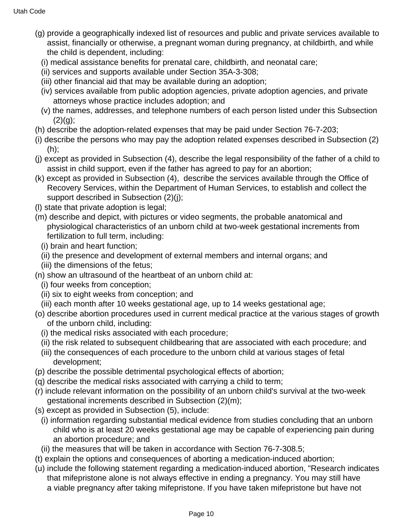- (g) provide a geographically indexed list of resources and public and private services available to assist, financially or otherwise, a pregnant woman during pregnancy, at childbirth, and while the child is dependent, including:
	- (i) medical assistance benefits for prenatal care, childbirth, and neonatal care;
	- (ii) services and supports available under Section 35A-3-308;
	- (iii) other financial aid that may be available during an adoption;
	- (iv) services available from public adoption agencies, private adoption agencies, and private attorneys whose practice includes adoption; and
	- (v) the names, addresses, and telephone numbers of each person listed under this Subsection  $(2)(q)$ ;
- (h) describe the adoption-related expenses that may be paid under Section 76-7-203;
- (i) describe the persons who may pay the adoption related expenses described in Subsection (2) (h);
- (j) except as provided in Subsection (4), describe the legal responsibility of the father of a child to assist in child support, even if the father has agreed to pay for an abortion;
- (k) except as provided in Subsection (4), describe the services available through the Office of Recovery Services, within the Department of Human Services, to establish and collect the support described in Subsection (2)(j);
- (l) state that private adoption is legal;
- (m) describe and depict, with pictures or video segments, the probable anatomical and physiological characteristics of an unborn child at two-week gestational increments from fertilization to full term, including:
	- (i) brain and heart function;
	- (ii) the presence and development of external members and internal organs; and
	- (iii) the dimensions of the fetus;
- (n) show an ultrasound of the heartbeat of an unborn child at:
	- (i) four weeks from conception;
	- (ii) six to eight weeks from conception; and
	- (iii) each month after 10 weeks gestational age, up to 14 weeks gestational age;
- (o) describe abortion procedures used in current medical practice at the various stages of growth of the unborn child, including:
	- (i) the medical risks associated with each procedure;
	- (ii) the risk related to subsequent childbearing that are associated with each procedure; and
	- (iii) the consequences of each procedure to the unborn child at various stages of fetal development;
- (p) describe the possible detrimental psychological effects of abortion;
- (q) describe the medical risks associated with carrying a child to term;
- (r) include relevant information on the possibility of an unborn child's survival at the two-week gestational increments described in Subsection (2)(m);
- (s) except as provided in Subsection (5), include:
	- (i) information regarding substantial medical evidence from studies concluding that an unborn child who is at least 20 weeks gestational age may be capable of experiencing pain during an abortion procedure; and
- (ii) the measures that will be taken in accordance with Section 76-7-308.5;
- (t) explain the options and consequences of aborting a medication-induced abortion;
- (u) include the following statement regarding a medication-induced abortion, "Research indicates that mifepristone alone is not always effective in ending a pregnancy. You may still have a viable pregnancy after taking mifepristone. If you have taken mifepristone but have not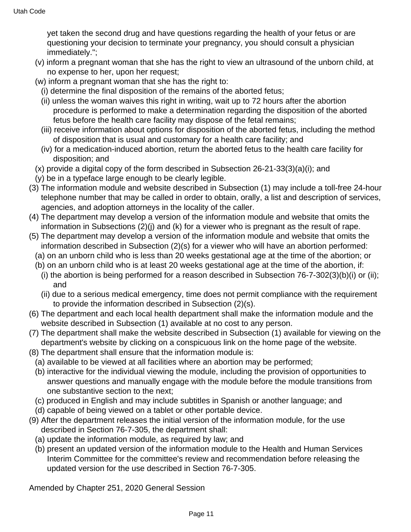yet taken the second drug and have questions regarding the health of your fetus or are questioning your decision to terminate your pregnancy, you should consult a physician immediately.";

- (v) inform a pregnant woman that she has the right to view an ultrasound of the unborn child, at no expense to her, upon her request;
- (w) inform a pregnant woman that she has the right to:
	- (i) determine the final disposition of the remains of the aborted fetus;
	- (ii) unless the woman waives this right in writing, wait up to 72 hours after the abortion procedure is performed to make a determination regarding the disposition of the aborted fetus before the health care facility may dispose of the fetal remains;
	- (iii) receive information about options for disposition of the aborted fetus, including the method of disposition that is usual and customary for a health care facility; and
	- (iv) for a medication-induced abortion, return the aborted fetus to the health care facility for disposition; and
- (x) provide a digital copy of the form described in Subsection 26-21-33(3)(a)(i); and
- (y) be in a typeface large enough to be clearly legible.
- (3) The information module and website described in Subsection (1) may include a toll-free 24-hour telephone number that may be called in order to obtain, orally, a list and description of services, agencies, and adoption attorneys in the locality of the caller.
- (4) The department may develop a version of the information module and website that omits the information in Subsections (2)(j) and (k) for a viewer who is pregnant as the result of rape.
- (5) The department may develop a version of the information module and website that omits the information described in Subsection (2)(s) for a viewer who will have an abortion performed:
	- (a) on an unborn child who is less than 20 weeks gestational age at the time of the abortion; or
	- (b) on an unborn child who is at least 20 weeks gestational age at the time of the abortion, if:
		- (i) the abortion is being performed for a reason described in Subsection 76-7-302(3)(b)(i) or (ii); and
		- (ii) due to a serious medical emergency, time does not permit compliance with the requirement to provide the information described in Subsection (2)(s).
- (6) The department and each local health department shall make the information module and the website described in Subsection (1) available at no cost to any person.
- (7) The department shall make the website described in Subsection (1) available for viewing on the department's website by clicking on a conspicuous link on the home page of the website.
- (8) The department shall ensure that the information module is:
- (a) available to be viewed at all facilities where an abortion may be performed;
- (b) interactive for the individual viewing the module, including the provision of opportunities to answer questions and manually engage with the module before the module transitions from one substantive section to the next;
- (c) produced in English and may include subtitles in Spanish or another language; and
- (d) capable of being viewed on a tablet or other portable device.
- (9) After the department releases the initial version of the information module, for the use described in Section 76-7-305, the department shall:
	- (a) update the information module, as required by law; and
	- (b) present an updated version of the information module to the Health and Human Services Interim Committee for the committee's review and recommendation before releasing the updated version for the use described in Section 76-7-305.

Amended by Chapter 251, 2020 General Session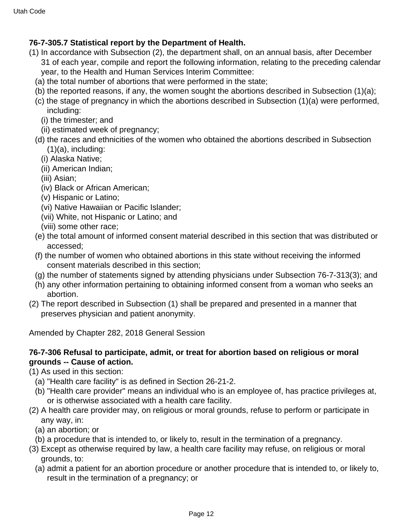## **76-7-305.7 Statistical report by the Department of Health.**

- (1) In accordance with Subsection (2), the department shall, on an annual basis, after December 31 of each year, compile and report the following information, relating to the preceding calendar year, to the Health and Human Services Interim Committee:
	- (a) the total number of abortions that were performed in the state;
	- (b) the reported reasons, if any, the women sought the abortions described in Subsection (1)(a);
	- (c) the stage of pregnancy in which the abortions described in Subsection (1)(a) were performed, including:
		- (i) the trimester; and
		- (ii) estimated week of pregnancy;
	- (d) the races and ethnicities of the women who obtained the abortions described in Subsection  $(1)(a)$ , including:
		- (i) Alaska Native;
		- (ii) American Indian;
		- (iii) Asian;
		- (iv) Black or African American;
		- (v) Hispanic or Latino;
		- (vi) Native Hawaiian or Pacific Islander;
		- (vii) White, not Hispanic or Latino; and
		- (viii) some other race;
	- (e) the total amount of informed consent material described in this section that was distributed or accessed;
	- (f) the number of women who obtained abortions in this state without receiving the informed consent materials described in this section;
	- (g) the number of statements signed by attending physicians under Subsection 76-7-313(3); and
	- (h) any other information pertaining to obtaining informed consent from a woman who seeks an abortion.
- (2) The report described in Subsection (1) shall be prepared and presented in a manner that preserves physician and patient anonymity.

Amended by Chapter 282, 2018 General Session

### **76-7-306 Refusal to participate, admit, or treat for abortion based on religious or moral grounds -- Cause of action.**

- (1) As used in this section:
	- (a) "Health care facility" is as defined in Section 26-21-2.
	- (b) "Health care provider" means an individual who is an employee of, has practice privileges at, or is otherwise associated with a health care facility.
- (2) A health care provider may, on religious or moral grounds, refuse to perform or participate in any way, in:
	- (a) an abortion; or
	- (b) a procedure that is intended to, or likely to, result in the termination of a pregnancy.
- (3) Except as otherwise required by law, a health care facility may refuse, on religious or moral grounds, to:
	- (a) admit a patient for an abortion procedure or another procedure that is intended to, or likely to, result in the termination of a pregnancy; or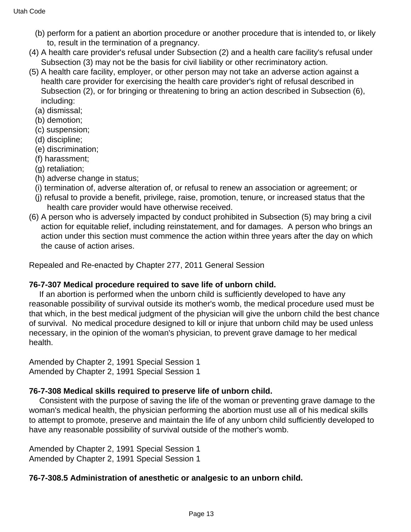- (b) perform for a patient an abortion procedure or another procedure that is intended to, or likely to, result in the termination of a pregnancy.
- (4) A health care provider's refusal under Subsection (2) and a health care facility's refusal under Subsection (3) may not be the basis for civil liability or other recriminatory action.
- (5) A health care facility, employer, or other person may not take an adverse action against a health care provider for exercising the health care provider's right of refusal described in Subsection (2), or for bringing or threatening to bring an action described in Subsection (6), including:
	- (a) dismissal;
	- (b) demotion;
	- (c) suspension;
	- (d) discipline;
	- (e) discrimination;
	- (f) harassment;
	- (g) retaliation;
	- (h) adverse change in status;
	- (i) termination of, adverse alteration of, or refusal to renew an association or agreement; or
	- (j) refusal to provide a benefit, privilege, raise, promotion, tenure, or increased status that the health care provider would have otherwise received.
- (6) A person who is adversely impacted by conduct prohibited in Subsection (5) may bring a civil action for equitable relief, including reinstatement, and for damages. A person who brings an action under this section must commence the action within three years after the day on which the cause of action arises.

Repealed and Re-enacted by Chapter 277, 2011 General Session

## **76-7-307 Medical procedure required to save life of unborn child.**

 If an abortion is performed when the unborn child is sufficiently developed to have any reasonable possibility of survival outside its mother's womb, the medical procedure used must be that which, in the best medical judgment of the physician will give the unborn child the best chance of survival. No medical procedure designed to kill or injure that unborn child may be used unless necessary, in the opinion of the woman's physician, to prevent grave damage to her medical health.

Amended by Chapter 2, 1991 Special Session 1 Amended by Chapter 2, 1991 Special Session 1

## **76-7-308 Medical skills required to preserve life of unborn child.**

 Consistent with the purpose of saving the life of the woman or preventing grave damage to the woman's medical health, the physician performing the abortion must use all of his medical skills to attempt to promote, preserve and maintain the life of any unborn child sufficiently developed to have any reasonable possibility of survival outside of the mother's womb.

Amended by Chapter 2, 1991 Special Session 1 Amended by Chapter 2, 1991 Special Session 1

## **76-7-308.5 Administration of anesthetic or analgesic to an unborn child.**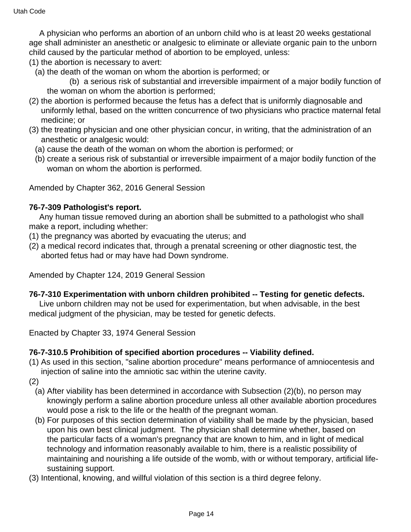A physician who performs an abortion of an unborn child who is at least 20 weeks gestational age shall administer an anesthetic or analgesic to eliminate or alleviate organic pain to the unborn child caused by the particular method of abortion to be employed, unless:

- (1) the abortion is necessary to avert:
	- (a) the death of the woman on whom the abortion is performed; or

 (b) a serious risk of substantial and irreversible impairment of a major bodily function of the woman on whom the abortion is performed;

- (2) the abortion is performed because the fetus has a defect that is uniformly diagnosable and uniformly lethal, based on the written concurrence of two physicians who practice maternal fetal medicine; or
- (3) the treating physician and one other physician concur, in writing, that the administration of an anesthetic or analgesic would:
	- (a) cause the death of the woman on whom the abortion is performed; or
	- (b) create a serious risk of substantial or irreversible impairment of a major bodily function of the woman on whom the abortion is performed.

Amended by Chapter 362, 2016 General Session

#### **76-7-309 Pathologist's report.**

 Any human tissue removed during an abortion shall be submitted to a pathologist who shall make a report, including whether:

- (1) the pregnancy was aborted by evacuating the uterus; and
- (2) a medical record indicates that, through a prenatal screening or other diagnostic test, the aborted fetus had or may have had Down syndrome.

Amended by Chapter 124, 2019 General Session

#### **76-7-310 Experimentation with unborn children prohibited -- Testing for genetic defects.**

 Live unborn children may not be used for experimentation, but when advisable, in the best medical judgment of the physician, may be tested for genetic defects.

Enacted by Chapter 33, 1974 General Session

#### **76-7-310.5 Prohibition of specified abortion procedures -- Viability defined.**

(1) As used in this section, "saline abortion procedure" means performance of amniocentesis and injection of saline into the amniotic sac within the uterine cavity.

(2)

- (a) After viability has been determined in accordance with Subsection (2)(b), no person may knowingly perform a saline abortion procedure unless all other available abortion procedures would pose a risk to the life or the health of the pregnant woman.
- (b) For purposes of this section determination of viability shall be made by the physician, based upon his own best clinical judgment. The physician shall determine whether, based on the particular facts of a woman's pregnancy that are known to him, and in light of medical technology and information reasonably available to him, there is a realistic possibility of maintaining and nourishing a life outside of the womb, with or without temporary, artificial lifesustaining support.
- (3) Intentional, knowing, and willful violation of this section is a third degree felony.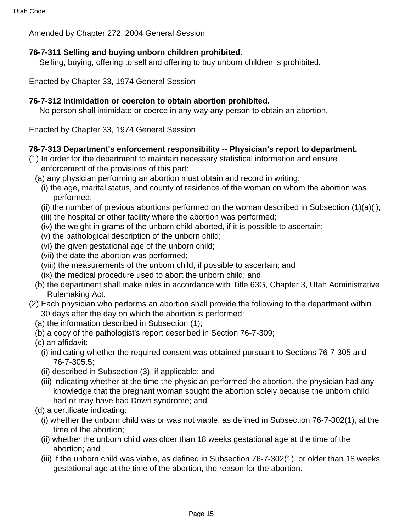Amended by Chapter 272, 2004 General Session

## **76-7-311 Selling and buying unborn children prohibited.**

Selling, buying, offering to sell and offering to buy unborn children is prohibited.

Enacted by Chapter 33, 1974 General Session

## **76-7-312 Intimidation or coercion to obtain abortion prohibited.**

No person shall intimidate or coerce in any way any person to obtain an abortion.

Enacted by Chapter 33, 1974 General Session

## **76-7-313 Department's enforcement responsibility -- Physician's report to department.**

- (1) In order for the department to maintain necessary statistical information and ensure enforcement of the provisions of this part:
	- (a) any physician performing an abortion must obtain and record in writing:
		- (i) the age, marital status, and county of residence of the woman on whom the abortion was performed;
		- (ii) the number of previous abortions performed on the woman described in Subsection  $(1)(a)(i)$ ;
		- (iii) the hospital or other facility where the abortion was performed;
		- (iv) the weight in grams of the unborn child aborted, if it is possible to ascertain;
		- (v) the pathological description of the unborn child;
		- (vi) the given gestational age of the unborn child;
		- (vii) the date the abortion was performed;
		- (viii) the measurements of the unborn child, if possible to ascertain; and
		- (ix) the medical procedure used to abort the unborn child; and
	- (b) the department shall make rules in accordance with Title 63G, Chapter 3, Utah Administrative Rulemaking Act.
- (2) Each physician who performs an abortion shall provide the following to the department within 30 days after the day on which the abortion is performed:
	- (a) the information described in Subsection (1);
	- (b) a copy of the pathologist's report described in Section 76-7-309;
	- (c) an affidavit:
		- (i) indicating whether the required consent was obtained pursuant to Sections 76-7-305 and 76-7-305.5;
		- (ii) described in Subsection (3), if applicable; and
		- (iii) indicating whether at the time the physician performed the abortion, the physician had any knowledge that the pregnant woman sought the abortion solely because the unborn child had or may have had Down syndrome; and
	- (d) a certificate indicating:
		- (i) whether the unborn child was or was not viable, as defined in Subsection 76-7-302(1), at the time of the abortion;
		- (ii) whether the unborn child was older than 18 weeks gestational age at the time of the abortion; and
		- (iii) if the unborn child was viable, as defined in Subsection 76-7-302(1), or older than 18 weeks gestational age at the time of the abortion, the reason for the abortion.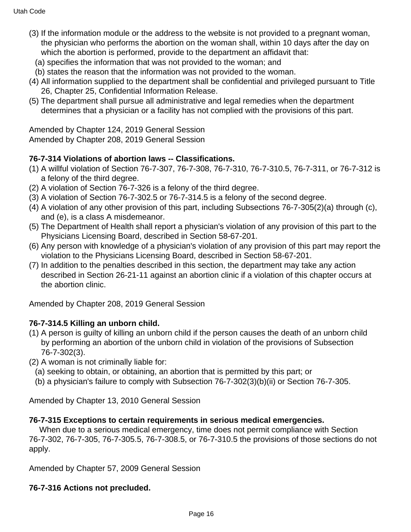- (3) If the information module or the address to the website is not provided to a pregnant woman, the physician who performs the abortion on the woman shall, within 10 days after the day on which the abortion is performed, provide to the department an affidavit that:
	- (a) specifies the information that was not provided to the woman; and
	- (b) states the reason that the information was not provided to the woman.
- (4) All information supplied to the department shall be confidential and privileged pursuant to Title 26, Chapter 25, Confidential Information Release.
- (5) The department shall pursue all administrative and legal remedies when the department determines that a physician or a facility has not complied with the provisions of this part.

Amended by Chapter 124, 2019 General Session Amended by Chapter 208, 2019 General Session

## **76-7-314 Violations of abortion laws -- Classifications.**

- (1) A willful violation of Section 76-7-307, 76-7-308, 76-7-310, 76-7-310.5, 76-7-311, or 76-7-312 is a felony of the third degree.
- (2) A violation of Section 76-7-326 is a felony of the third degree.
- (3) A violation of Section 76-7-302.5 or 76-7-314.5 is a felony of the second degree.
- (4) A violation of any other provision of this part, including Subsections 76-7-305(2)(a) through (c), and (e), is a class A misdemeanor.
- (5) The Department of Health shall report a physician's violation of any provision of this part to the Physicians Licensing Board, described in Section 58-67-201.
- (6) Any person with knowledge of a physician's violation of any provision of this part may report the violation to the Physicians Licensing Board, described in Section 58-67-201.
- (7) In addition to the penalties described in this section, the department may take any action described in Section 26-21-11 against an abortion clinic if a violation of this chapter occurs at the abortion clinic.

Amended by Chapter 208, 2019 General Session

# **76-7-314.5 Killing an unborn child.**

- (1) A person is guilty of killing an unborn child if the person causes the death of an unborn child by performing an abortion of the unborn child in violation of the provisions of Subsection 76-7-302(3).
- (2) A woman is not criminally liable for:
	- (a) seeking to obtain, or obtaining, an abortion that is permitted by this part; or
	- (b) a physician's failure to comply with Subsection 76-7-302(3)(b)(ii) or Section 76-7-305.

Amended by Chapter 13, 2010 General Session

## **76-7-315 Exceptions to certain requirements in serious medical emergencies.**

 When due to a serious medical emergency, time does not permit compliance with Section 76-7-302, 76-7-305, 76-7-305.5, 76-7-308.5, or 76-7-310.5 the provisions of those sections do not apply.

Amended by Chapter 57, 2009 General Session

# **76-7-316 Actions not precluded.**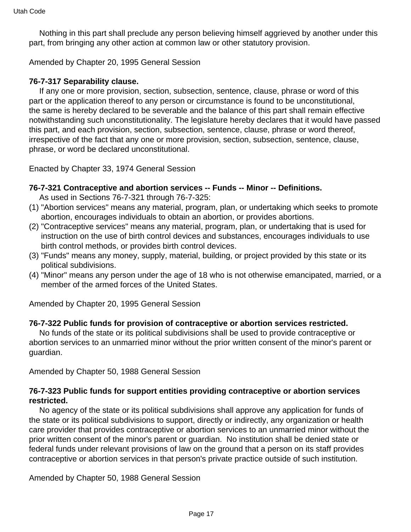Nothing in this part shall preclude any person believing himself aggrieved by another under this part, from bringing any other action at common law or other statutory provision.

Amended by Chapter 20, 1995 General Session

#### **76-7-317 Separability clause.**

 If any one or more provision, section, subsection, sentence, clause, phrase or word of this part or the application thereof to any person or circumstance is found to be unconstitutional, the same is hereby declared to be severable and the balance of this part shall remain effective notwithstanding such unconstitutionality. The legislature hereby declares that it would have passed this part, and each provision, section, subsection, sentence, clause, phrase or word thereof, irrespective of the fact that any one or more provision, section, subsection, sentence, clause, phrase, or word be declared unconstitutional.

Enacted by Chapter 33, 1974 General Session

#### **76-7-321 Contraceptive and abortion services -- Funds -- Minor -- Definitions.**

As used in Sections 76-7-321 through 76-7-325:

- (1) "Abortion services" means any material, program, plan, or undertaking which seeks to promote abortion, encourages individuals to obtain an abortion, or provides abortions.
- (2) "Contraceptive services" means any material, program, plan, or undertaking that is used for instruction on the use of birth control devices and substances, encourages individuals to use birth control methods, or provides birth control devices.
- (3) "Funds" means any money, supply, material, building, or project provided by this state or its political subdivisions.
- (4) "Minor" means any person under the age of 18 who is not otherwise emancipated, married, or a member of the armed forces of the United States.

Amended by Chapter 20, 1995 General Session

#### **76-7-322 Public funds for provision of contraceptive or abortion services restricted.**

 No funds of the state or its political subdivisions shall be used to provide contraceptive or abortion services to an unmarried minor without the prior written consent of the minor's parent or guardian.

Amended by Chapter 50, 1988 General Session

#### **76-7-323 Public funds for support entities providing contraceptive or abortion services restricted.**

 No agency of the state or its political subdivisions shall approve any application for funds of the state or its political subdivisions to support, directly or indirectly, any organization or health care provider that provides contraceptive or abortion services to an unmarried minor without the prior written consent of the minor's parent or guardian. No institution shall be denied state or federal funds under relevant provisions of law on the ground that a person on its staff provides contraceptive or abortion services in that person's private practice outside of such institution.

Amended by Chapter 50, 1988 General Session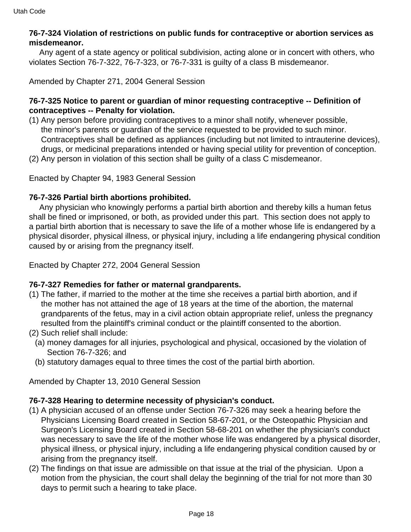### **76-7-324 Violation of restrictions on public funds for contraceptive or abortion services as misdemeanor.**

 Any agent of a state agency or political subdivision, acting alone or in concert with others, who violates Section 76-7-322, 76-7-323, or 76-7-331 is guilty of a class B misdemeanor.

Amended by Chapter 271, 2004 General Session

#### **76-7-325 Notice to parent or guardian of minor requesting contraceptive -- Definition of contraceptives -- Penalty for violation.**

- (1) Any person before providing contraceptives to a minor shall notify, whenever possible, the minor's parents or guardian of the service requested to be provided to such minor. Contraceptives shall be defined as appliances (including but not limited to intrauterine devices), drugs, or medicinal preparations intended or having special utility for prevention of conception.
- (2) Any person in violation of this section shall be guilty of a class C misdemeanor.

Enacted by Chapter 94, 1983 General Session

#### **76-7-326 Partial birth abortions prohibited.**

 Any physician who knowingly performs a partial birth abortion and thereby kills a human fetus shall be fined or imprisoned, or both, as provided under this part. This section does not apply to a partial birth abortion that is necessary to save the life of a mother whose life is endangered by a physical disorder, physical illness, or physical injury, including a life endangering physical condition caused by or arising from the pregnancy itself.

Enacted by Chapter 272, 2004 General Session

#### **76-7-327 Remedies for father or maternal grandparents.**

- (1) The father, if married to the mother at the time she receives a partial birth abortion, and if the mother has not attained the age of 18 years at the time of the abortion, the maternal grandparents of the fetus, may in a civil action obtain appropriate relief, unless the pregnancy resulted from the plaintiff's criminal conduct or the plaintiff consented to the abortion.
- (2) Such relief shall include:
	- (a) money damages for all injuries, psychological and physical, occasioned by the violation of Section 76-7-326; and
	- (b) statutory damages equal to three times the cost of the partial birth abortion.

Amended by Chapter 13, 2010 General Session

#### **76-7-328 Hearing to determine necessity of physician's conduct.**

- (1) A physician accused of an offense under Section 76-7-326 may seek a hearing before the Physicians Licensing Board created in Section 58-67-201, or the Osteopathic Physician and Surgeon's Licensing Board created in Section 58-68-201 on whether the physician's conduct was necessary to save the life of the mother whose life was endangered by a physical disorder, physical illness, or physical injury, including a life endangering physical condition caused by or arising from the pregnancy itself.
- (2) The findings on that issue are admissible on that issue at the trial of the physician. Upon a motion from the physician, the court shall delay the beginning of the trial for not more than 30 days to permit such a hearing to take place.